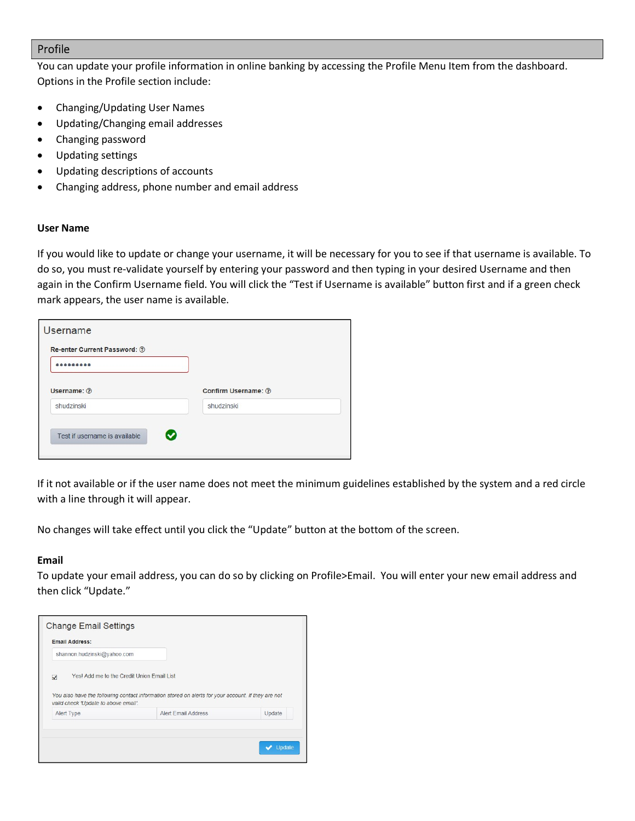# Profile

You can update your profile information in online banking by accessing the Profile Menu Item from the dashboard. Options in the Profile section include:

- � Changing/Updating User Names
- � Updating/Changing email addresses
- � Changing password
- � Updating settings
- Updating descriptions of accounts
- � Changing address, phone number and email address

## **User Name**

If you would like to update or change your username, it will be necessary for you to see if that username is available. To do so, you must re-validate yourself by entering your password and then typing in your desired Username and then again in the Confirm Username field. You will click the "Test if Username is available" button first and if a green check mark appears, the user name is available.

| Username: 2 | Confirm Username: 7 |
|-------------|---------------------|
| shudzinski  | shudzinski          |

If it not available or if the user name does not meet the minimum guidelines established by the system and a red circle with a line through it will appear.

No changes will take effect until you click the "Update" button at the bottom of the screen.

#### **Email**

To update your email address, you can do so by clicking on Profile>Email. You will enter your new email address and then click "Update."

| shannon.hudzinski@yahoo.com<br>Yes! Add me to the Credit Union Email List<br>$\overline{\mathsf{v}}$                                       |                            |        |
|--------------------------------------------------------------------------------------------------------------------------------------------|----------------------------|--------|
|                                                                                                                                            |                            |        |
| You also have the following contact information stored on alerts for your account. If they are not<br>valid check 'Update to above email'. |                            |        |
| Alert Type                                                                                                                                 | <b>Alert Email Address</b> | Update |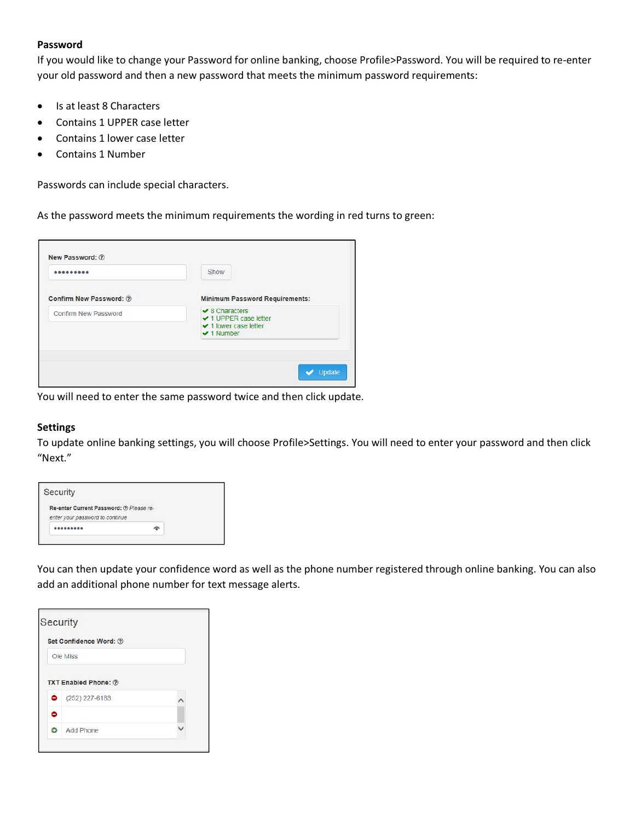### **Password**

If you would like to change your Password for online banking, choose Profile>Password. You will be required to re-enter your old password and then a new password that meets the minimum password requirements:

- � Is at least 8 Characters
- � Contains 1 UPPER case letter
- � Contains 1 lower case letter
- � Contains 1 Number

Passwords can include special characters.

As the password meets the minimum requirements the wording in red turns to green:

|                         | Show                                                                                          |
|-------------------------|-----------------------------------------------------------------------------------------------|
| Confirm New Password: 2 | <b>Minimum Password Requirements:</b>                                                         |
| Confirm New Password    | $\vee$ 8 Characters<br>✔ 1 UPPER case letter<br>$\vee$ 1 lower case letter<br>$\vee$ 1 Number |

You will need to enter the same password twice and then click update.

# **Settings**

To update online banking settings, you will choose Profile>Settings. You will need to enter your password and then click "Next."

| Security                                                                   |  |
|----------------------------------------------------------------------------|--|
| Re-enter Current Password: ® Please re-<br>enter your password to continue |  |
|                                                                            |  |

You can then update your confidence word as well as the phone number registered through online banking. You can also add an additional phone number for text message alerts.

|   | Set Confidence Word: 7        |  |
|---|-------------------------------|--|
|   | Ole Miss                      |  |
|   |                               |  |
|   | <b>TXT Enabled Phone: (?)</b> |  |
| ۰ | (252) 227-6183                |  |
| ◓ |                               |  |